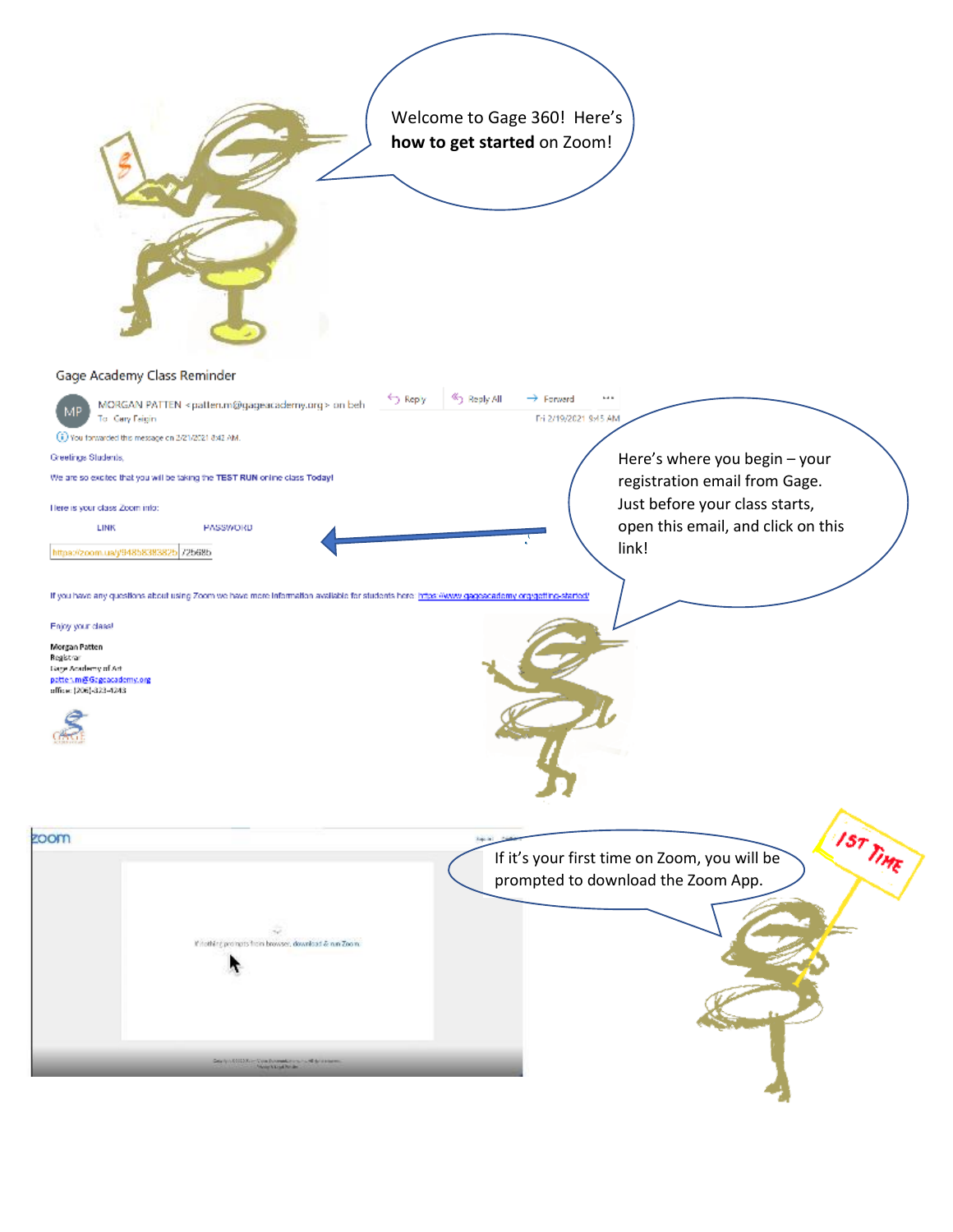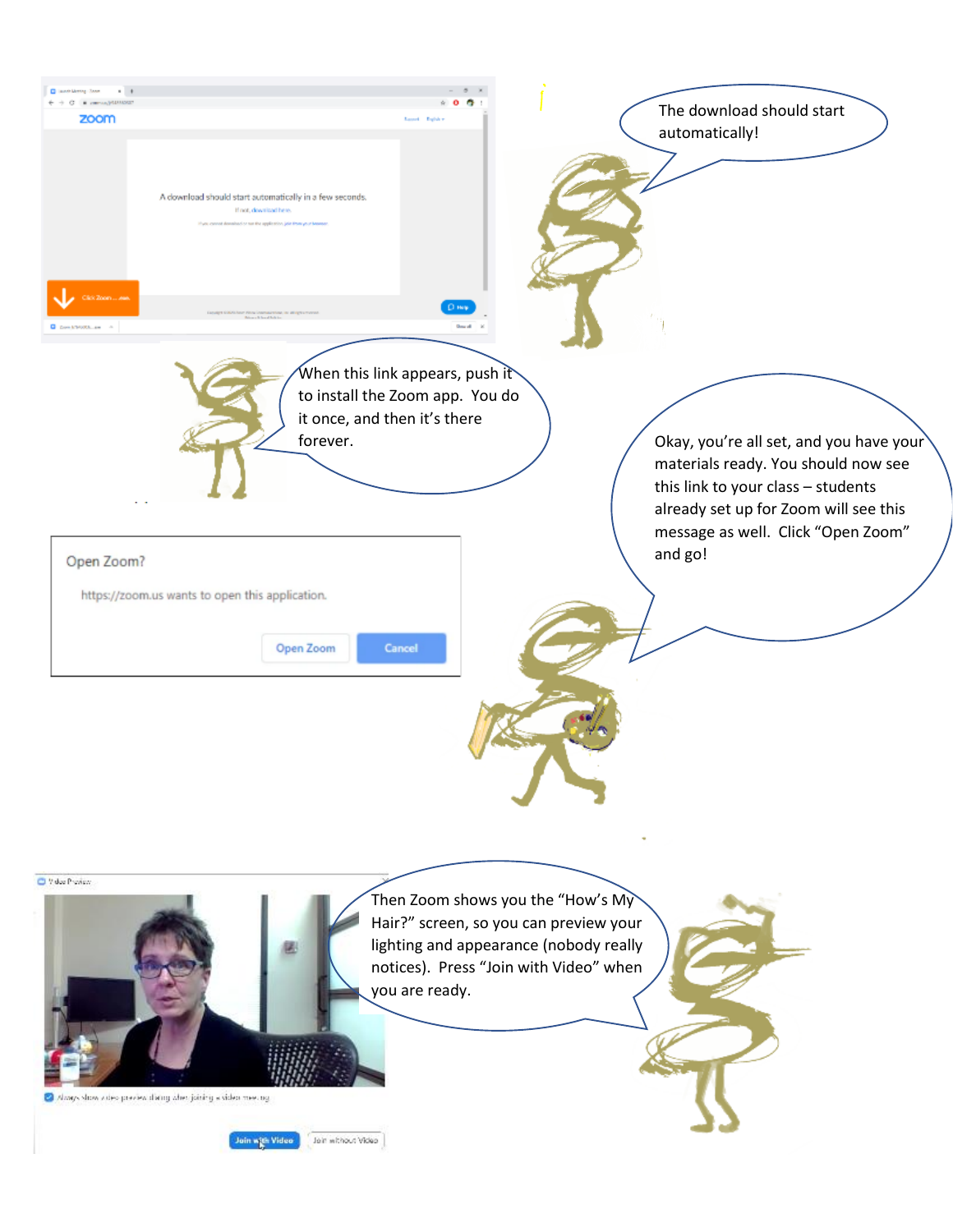

Always show when preview diaring when joining a siden meeting.

Join with Video | Join whout Video |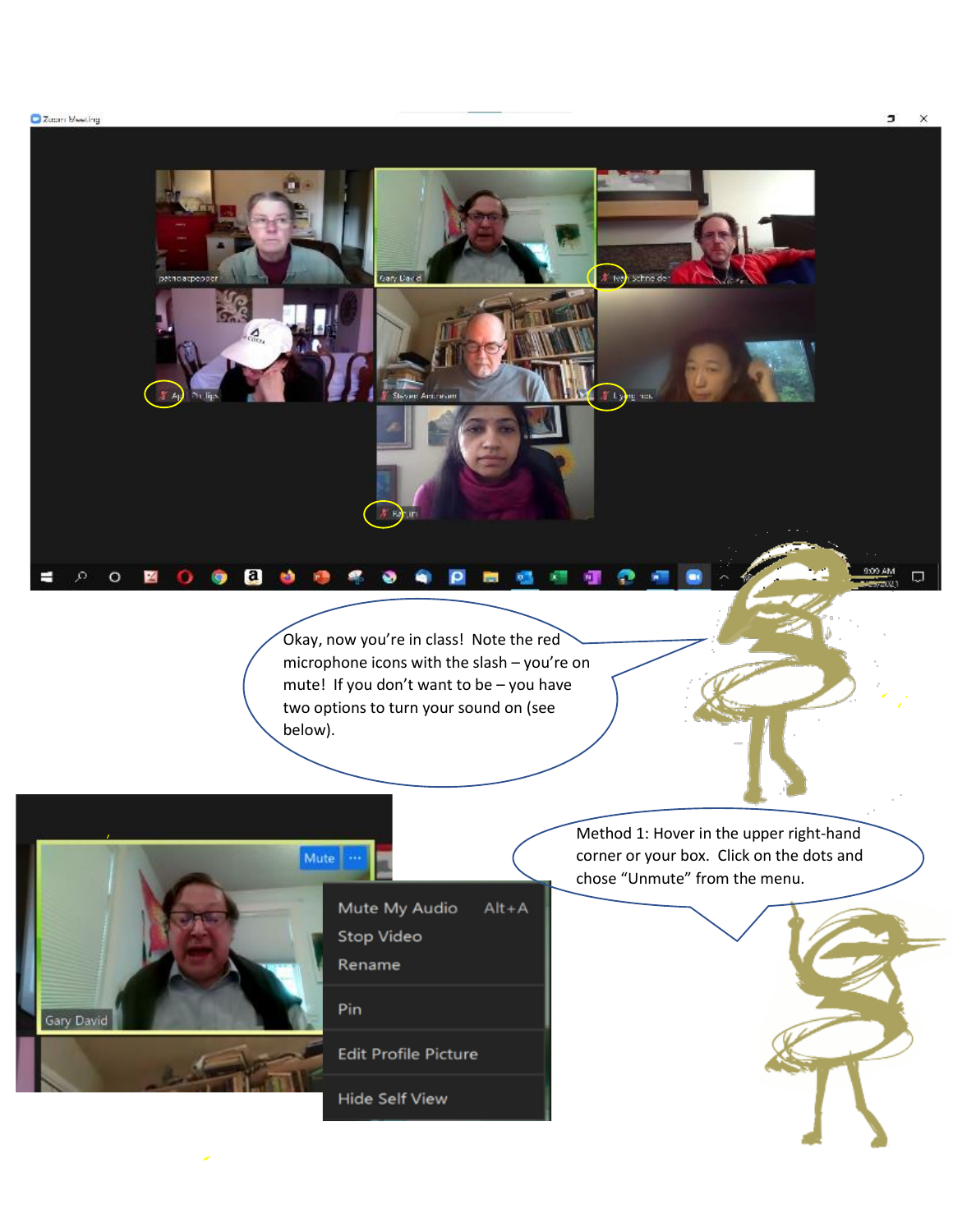Zoom Meeting

 $\mathcal{P}^ \circ$ 

н

國

 $\bullet$ 

28

Okay, now you're in class! Note the red microphone icons with the slash – you're on mute! If you don't want to be – you have two options to turn your sound on (see below).

 $\circ$ 

 $\bullet$  $\bullet$ 

Jary Davi



noacpeppe

 $\Delta$ 

.....

Mute My Audio  $Alt + A$ Stop Video Rename Pin **Edit Profile Picture** Hide Self View

Method 1: Hover in the upper right-hand corner or your box. Click on the dots and chose "Unmute" from the menu.

# ive<mark>n schneide</mark>

 $\frac{1}{2}$  Lying and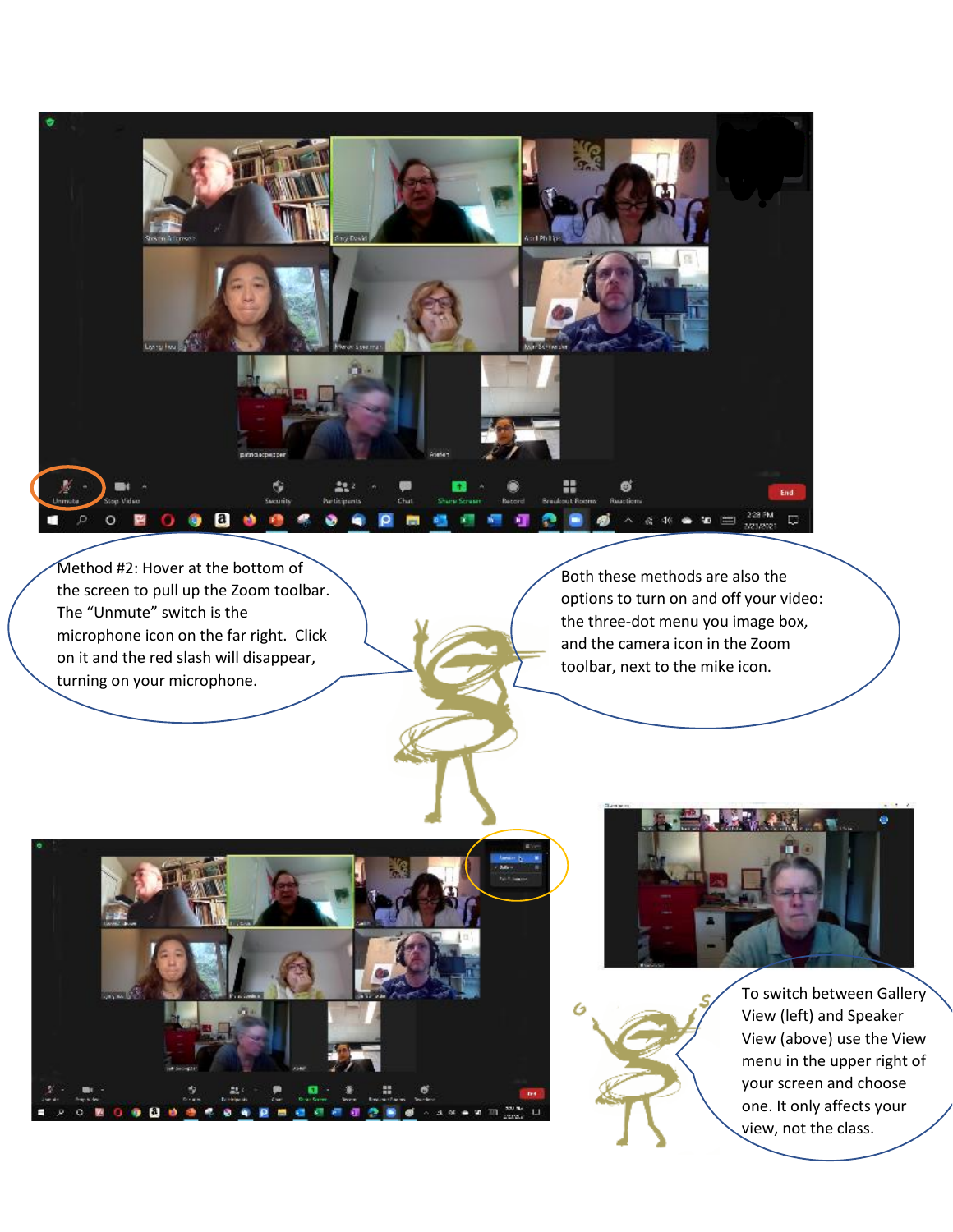

Method #2: Hover at the bottom of the screen to pull up the Zoom toolbar. The "Unmute" switch is the microphone icon on the far right. Click on it and the red slash will disappear, turning on your microphone.

Both these methods are also the options to turn on and off your video: the three-dot menu you image box, and the camera icon in the Zoom toolbar, next to the mike icon.







To switch between Gallery View (left) and Speaker View (above) use the View menu in the upper right of your screen and choose one. It only affects your view, not the class.